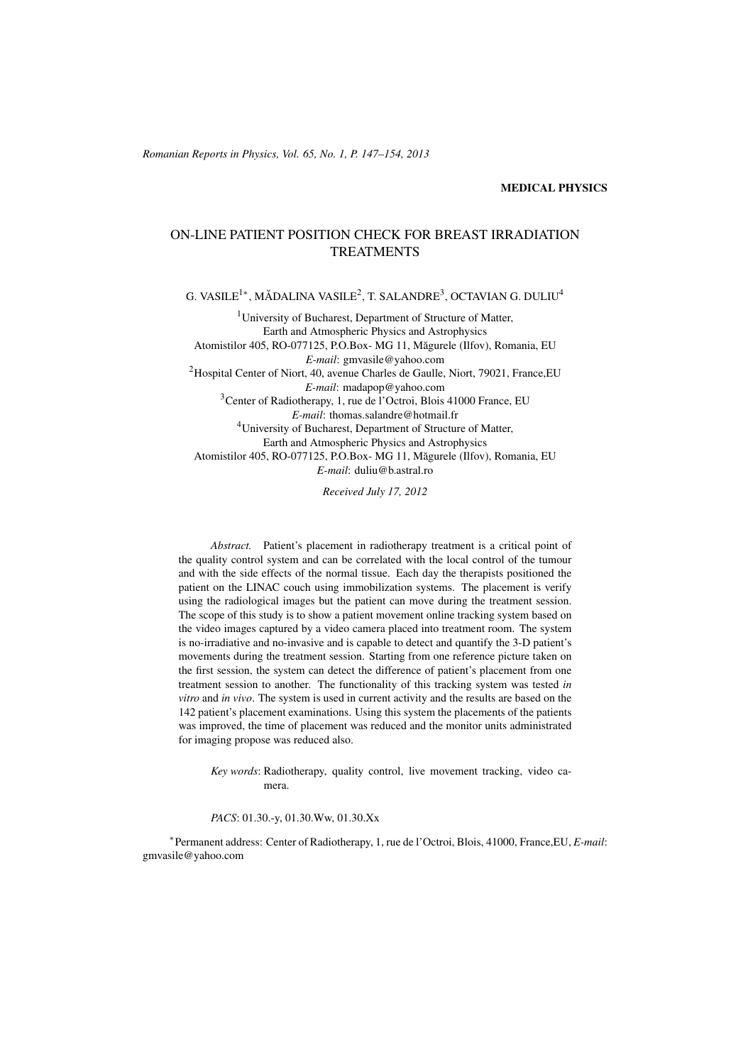#### MEDICAL PHYSICS

# ON-LINE PATIENT POSITION CHECK FOR BREAST IRRADIATION TREATMENTS

G. VASILE<sup>1</sup>\*, MĂDALINA VASILE<sup>2</sup>, T. SALANDRE<sup>3</sup>, OCTAVIAN G. DULIU<sup>4</sup>

<sup>1</sup>University of Bucharest, Department of Structure of Matter, Earth and Atmospheric Physics and Astrophysics Atomistilor 405, RO-077125, P.O.Box- MG 11, Măgurele (Ilfov), Romania, EU *E-mail*: gmvasile@yahoo.com <sup>2</sup>Hospital Center of Niort, 40, avenue Charles de Gaulle, Niort, 79021, France, EU *E-mail*: madapop@yahoo.com <sup>3</sup>Center of Radiotherapy, 1, rue de l'Octroi, Blois 41000 France, EU *E-mail*: thomas.salandre@hotmail.fr <sup>4</sup>University of Bucharest, Department of Structure of Matter, Earth and Atmospheric Physics and Astrophysics Atomistilor 405, RO-077125, P.O.Box- MG 11, Măgurele (Ilfov), Romania, EU *E-mail*: duliu@b.astral.ro

*Received July 17, 2012*

*Abstract.* Patient's placement in radiotherapy treatment is a critical point of the quality control system and can be correlated with the local control of the tumour and with the side effects of the normal tissue. Each day the therapists positioned the patient on the LINAC couch using immobilization systems. The placement is verify using the radiological images but the patient can move during the treatment session. The scope of this study is to show a patient movement online tracking system based on the video images captured by a video camera placed into treatment room. The system is no-irradiative and no-invasive and is capable to detect and quantify the 3-D patient's movements during the treatment session. Starting from one reference picture taken on the first session, the system can detect the difference of patient's placement from one treatment session to another. The functionality of this tracking system was tested *in vitro* and *in vivo*. The system is used in current activity and the results are based on the 142 patient's placement examinations. Using this system the placements of the patients was improved, the time of placement was reduced and the monitor units administrated for imaging propose was reduced also.

*Key words*: Radiotherapy, quality control, live movement tracking, video camera.

*PACS*: 01.30.-y, 01.30.Ww, 01.30.Xx

∗ Permanent address: Center of Radiotherapy, 1, rue de l'Octroi, Blois, 41000, France,EU, *E-mail*: gmvasile@yahoo.com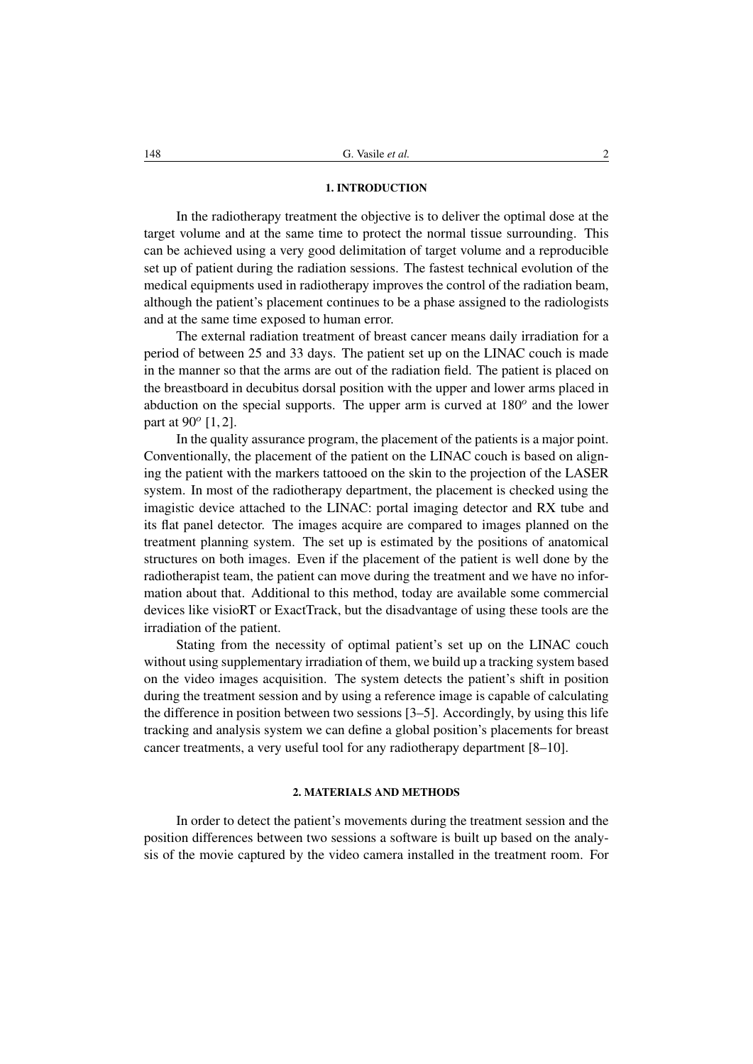## 1. INTRODUCTION

In the radiotherapy treatment the objective is to deliver the optimal dose at the target volume and at the same time to protect the normal tissue surrounding. This can be achieved using a very good delimitation of target volume and a reproducible set up of patient during the radiation sessions. The fastest technical evolution of the medical equipments used in radiotherapy improves the control of the radiation beam, although the patient's placement continues to be a phase assigned to the radiologists and at the same time exposed to human error.

The external radiation treatment of breast cancer means daily irradiation for a period of between 25 and 33 days. The patient set up on the LINAC couch is made in the manner so that the arms are out of the radiation field. The patient is placed on the breastboard in decubitus dorsal position with the upper and lower arms placed in abduction on the special supports. The upper arm is curved at  $180^{\circ}$  and the lower part at  $90^{\circ}$  [1, 2].

In the quality assurance program, the placement of the patients is a major point. Conventionally, the placement of the patient on the LINAC couch is based on aligning the patient with the markers tattooed on the skin to the projection of the LASER system. In most of the radiotherapy department, the placement is checked using the imagistic device attached to the LINAC: portal imaging detector and RX tube and its flat panel detector. The images acquire are compared to images planned on the treatment planning system. The set up is estimated by the positions of anatomical structures on both images. Even if the placement of the patient is well done by the radiotherapist team, the patient can move during the treatment and we have no information about that. Additional to this method, today are available some commercial devices like visioRT or ExactTrack, but the disadvantage of using these tools are the irradiation of the patient.

Stating from the necessity of optimal patient's set up on the LINAC couch without using supplementary irradiation of them, we build up a tracking system based on the video images acquisition. The system detects the patient's shift in position during the treatment session and by using a reference image is capable of calculating the difference in position between two sessions [3–5]. Accordingly, by using this life tracking and analysis system we can define a global position's placements for breast cancer treatments, a very useful tool for any radiotherapy department [8–10].

# 2. MATERIALS AND METHODS

In order to detect the patient's movements during the treatment session and the position differences between two sessions a software is built up based on the analysis of the movie captured by the video camera installed in the treatment room. For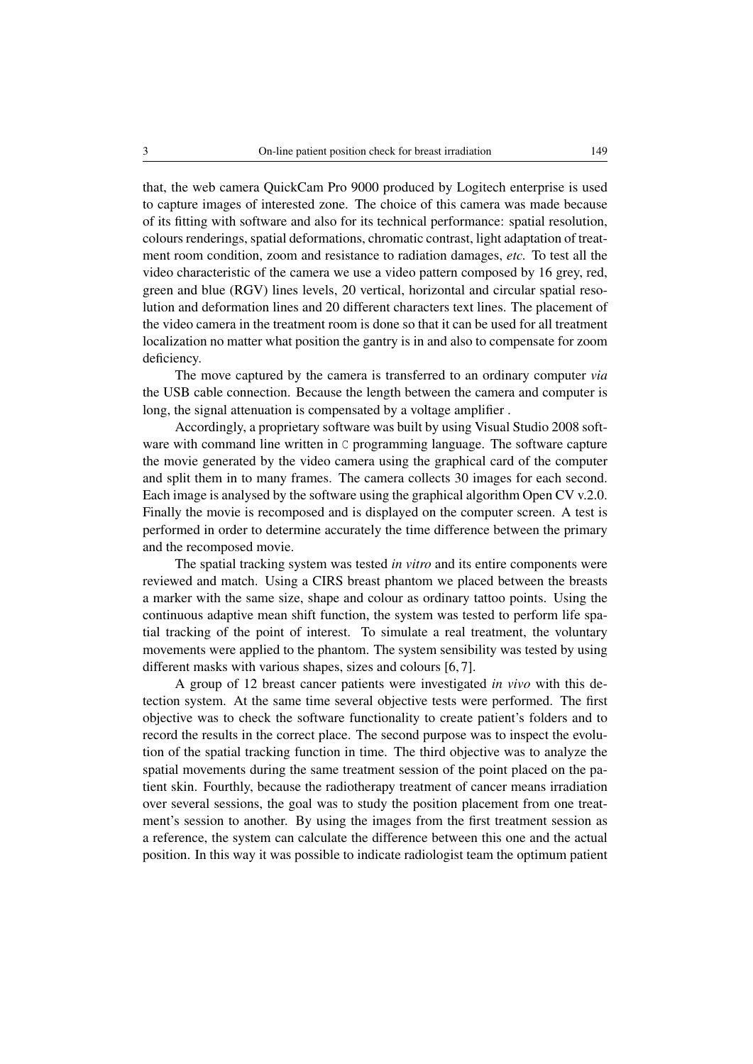that, the web camera QuickCam Pro 9000 produced by Logitech enterprise is used to capture images of interested zone. The choice of this camera was made because of its fitting with software and also for its technical performance: spatial resolution, colours renderings, spatial deformations, chromatic contrast, light adaptation of treatment room condition, zoom and resistance to radiation damages, *etc.* To test all the video characteristic of the camera we use a video pattern composed by 16 grey, red, green and blue (RGV) lines levels, 20 vertical, horizontal and circular spatial resolution and deformation lines and 20 different characters text lines. The placement of the video camera in the treatment room is done so that it can be used for all treatment localization no matter what position the gantry is in and also to compensate for zoom deficiency.

The move captured by the camera is transferred to an ordinary computer *via* the USB cable connection. Because the length between the camera and computer is long, the signal attenuation is compensated by a voltage amplifier .

Accordingly, a proprietary software was built by using Visual Studio 2008 software with command line written in C programming language. The software capture the movie generated by the video camera using the graphical card of the computer and split them in to many frames. The camera collects 30 images for each second. Each image is analysed by the software using the graphical algorithm Open CV v.2.0. Finally the movie is recomposed and is displayed on the computer screen. A test is performed in order to determine accurately the time difference between the primary and the recomposed movie.

The spatial tracking system was tested *in vitro* and its entire components were reviewed and match. Using a CIRS breast phantom we placed between the breasts a marker with the same size, shape and colour as ordinary tattoo points. Using the continuous adaptive mean shift function, the system was tested to perform life spatial tracking of the point of interest. To simulate a real treatment, the voluntary movements were applied to the phantom. The system sensibility was tested by using different masks with various shapes, sizes and colours [6, 7].

A group of 12 breast cancer patients were investigated *in vivo* with this detection system. At the same time several objective tests were performed. The first objective was to check the software functionality to create patient's folders and to record the results in the correct place. The second purpose was to inspect the evolution of the spatial tracking function in time. The third objective was to analyze the spatial movements during the same treatment session of the point placed on the patient skin. Fourthly, because the radiotherapy treatment of cancer means irradiation over several sessions, the goal was to study the position placement from one treatment's session to another. By using the images from the first treatment session as a reference, the system can calculate the difference between this one and the actual position. In this way it was possible to indicate radiologist team the optimum patient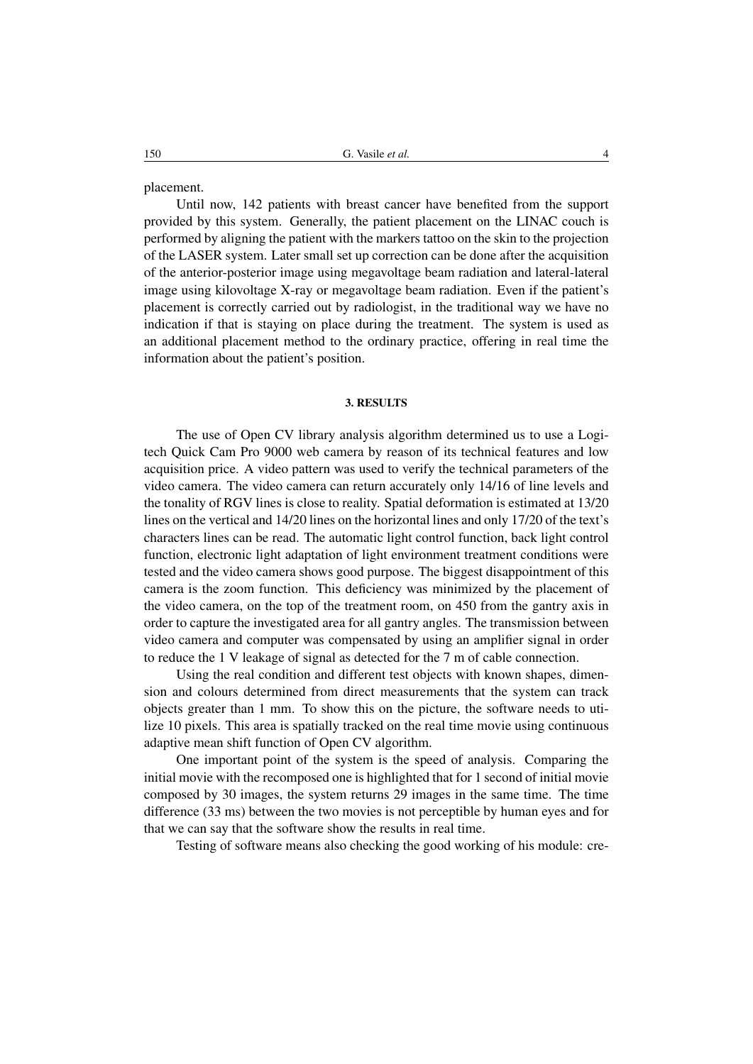placement.

Until now, 142 patients with breast cancer have benefited from the support provided by this system. Generally, the patient placement on the LINAC couch is performed by aligning the patient with the markers tattoo on the skin to the projection of the LASER system. Later small set up correction can be done after the acquisition of the anterior-posterior image using megavoltage beam radiation and lateral-lateral image using kilovoltage X-ray or megavoltage beam radiation. Even if the patient's placement is correctly carried out by radiologist, in the traditional way we have no indication if that is staying on place during the treatment. The system is used as an additional placement method to the ordinary practice, offering in real time the information about the patient's position.

#### 3. RESULTS

The use of Open CV library analysis algorithm determined us to use a Logitech Quick Cam Pro 9000 web camera by reason of its technical features and low acquisition price. A video pattern was used to verify the technical parameters of the video camera. The video camera can return accurately only 14/16 of line levels and the tonality of RGV lines is close to reality. Spatial deformation is estimated at 13/20 lines on the vertical and 14/20 lines on the horizontal lines and only 17/20 of the text's characters lines can be read. The automatic light control function, back light control function, electronic light adaptation of light environment treatment conditions were tested and the video camera shows good purpose. The biggest disappointment of this camera is the zoom function. This deficiency was minimized by the placement of the video camera, on the top of the treatment room, on 450 from the gantry axis in order to capture the investigated area for all gantry angles. The transmission between video camera and computer was compensated by using an amplifier signal in order to reduce the 1 V leakage of signal as detected for the 7 m of cable connection.

Using the real condition and different test objects with known shapes, dimension and colours determined from direct measurements that the system can track objects greater than 1 mm. To show this on the picture, the software needs to utilize 10 pixels. This area is spatially tracked on the real time movie using continuous adaptive mean shift function of Open CV algorithm.

One important point of the system is the speed of analysis. Comparing the initial movie with the recomposed one is highlighted that for 1 second of initial movie composed by 30 images, the system returns 29 images in the same time. The time difference (33 ms) between the two movies is not perceptible by human eyes and for that we can say that the software show the results in real time.

Testing of software means also checking the good working of his module: cre-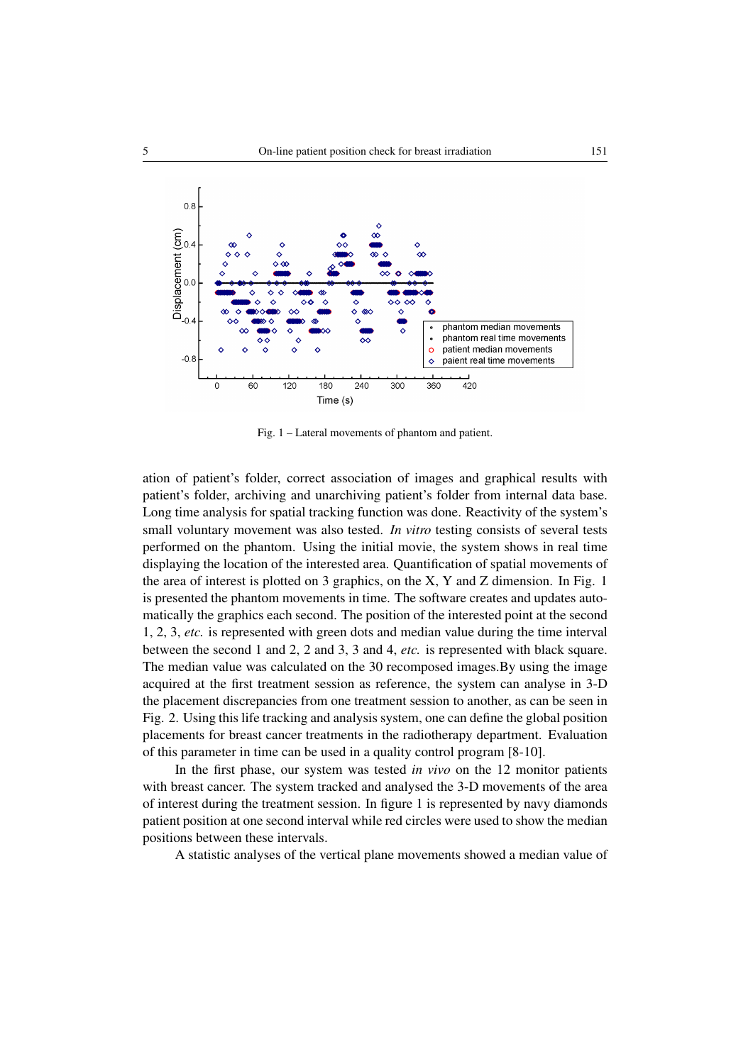

Fig. 1 – Lateral movements of phantom and patient.

ation of patient's folder, correct association of images and graphical results with patient's folder, archiving and unarchiving patient's folder from internal data base. Long time analysis for spatial tracking function was done. Reactivity of the system's small voluntary movement was also tested. *In vitro* testing consists of several tests performed on the phantom. Using the initial movie, the system shows in real time displaying the location of the interested area. Quantification of spatial movements of the area of interest is plotted on 3 graphics, on the  $X$ , Y and Z dimension. In Fig. 1 is presented the phantom movements in time. The software creates and updates automatically the graphics each second. The position of the interested point at the second 1, 2, 3, *etc.* is represented with green dots and median value during the time interval between the second 1 and 2, 2 and 3, 3 and 4, *etc.* is represented with black square. The median value was calculated on the 30 recomposed images.By using the image acquired at the first treatment session as reference, the system can analyse in 3-D the placement discrepancies from one treatment session to another, as can be seen in Fig. 2. Using this life tracking and analysis system, one can define the global position placements for breast cancer treatments in the radiotherapy department. Evaluation of this parameter in time can be used in a quality control program [8-10].

In the first phase, our system was tested *in vivo* on the 12 monitor patients with breast cancer. The system tracked and analysed the 3-D movements of the area of interest during the treatment session. In figure 1 is represented by navy diamonds patient position at one second interval while red circles were used to show the median positions between these intervals.

A statistic analyses of the vertical plane movements showed a median value of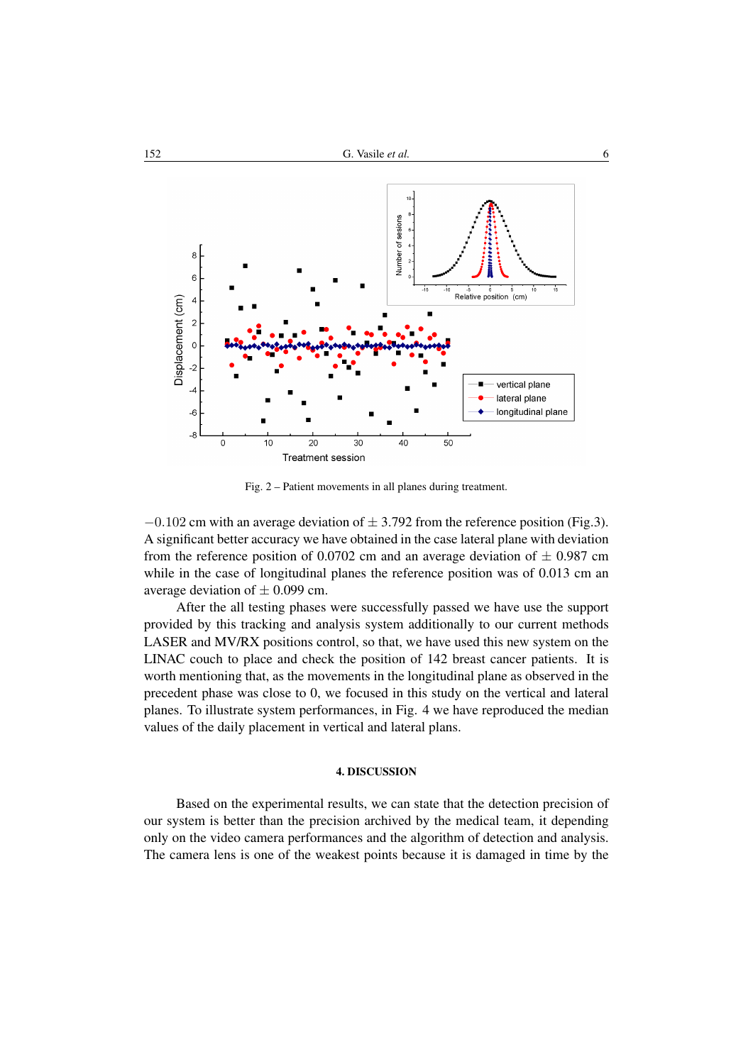

Fig. 2 – Patient movements in all planes during treatment.

 $-0.102$  cm with an average deviation of  $\pm 3.792$  from the reference position (Fig.3). A significant better accuracy we have obtained in the case lateral plane with deviation from the reference position of 0.0702 cm and an average deviation of  $\pm$  0.987 cm while in the case of longitudinal planes the reference position was of 0.013 cm an average deviation of  $\pm$  0.099 cm.

After the all testing phases were successfully passed we have use the support provided by this tracking and analysis system additionally to our current methods LASER and MV/RX positions control, so that, we have used this new system on the LINAC couch to place and check the position of 142 breast cancer patients. It is worth mentioning that, as the movements in the longitudinal plane as observed in the precedent phase was close to 0, we focused in this study on the vertical and lateral planes. To illustrate system performances, in Fig. 4 we have reproduced the median values of the daily placement in vertical and lateral plans.

## 4. DISCUSSION

Based on the experimental results, we can state that the detection precision of our system is better than the precision archived by the medical team, it depending only on the video camera performances and the algorithm of detection and analysis. The camera lens is one of the weakest points because it is damaged in time by the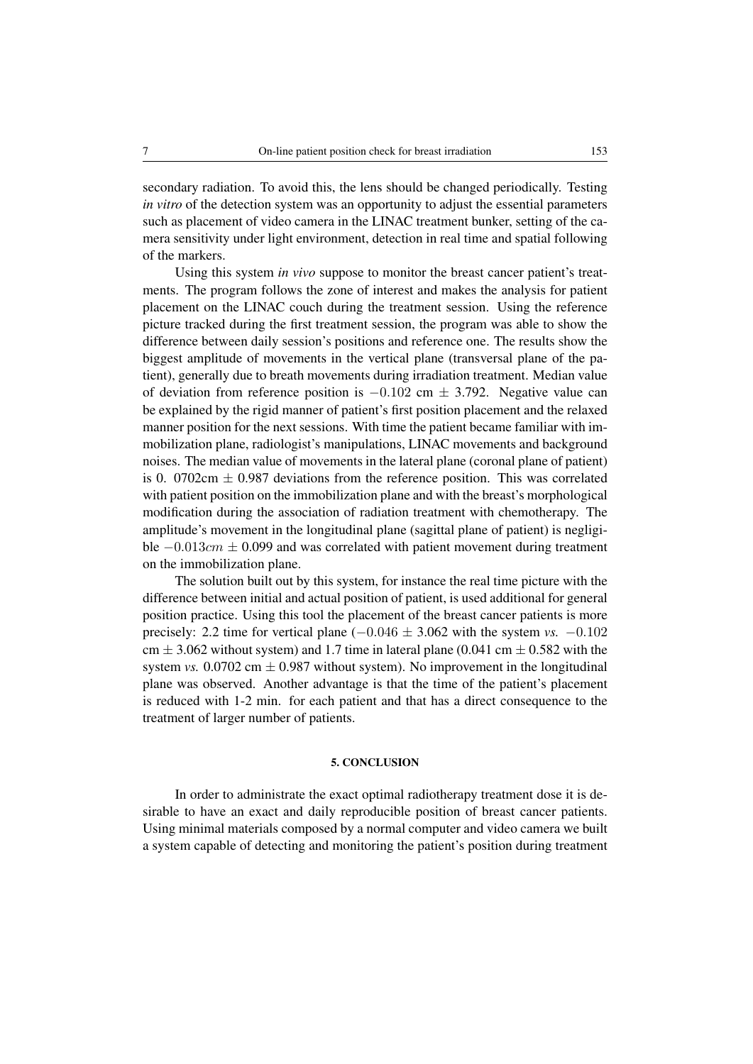secondary radiation. To avoid this, the lens should be changed periodically. Testing *in vitro* of the detection system was an opportunity to adjust the essential parameters such as placement of video camera in the LINAC treatment bunker, setting of the camera sensitivity under light environment, detection in real time and spatial following of the markers.

Using this system *in vivo* suppose to monitor the breast cancer patient's treatments. The program follows the zone of interest and makes the analysis for patient placement on the LINAC couch during the treatment session. Using the reference picture tracked during the first treatment session, the program was able to show the difference between daily session's positions and reference one. The results show the biggest amplitude of movements in the vertical plane (transversal plane of the patient), generally due to breath movements during irradiation treatment. Median value of deviation from reference position is  $-0.102$  cm  $\pm$  3.792. Negative value can be explained by the rigid manner of patient's first position placement and the relaxed manner position for the next sessions. With time the patient became familiar with immobilization plane, radiologist's manipulations, LINAC movements and background noises. The median value of movements in the lateral plane (coronal plane of patient) is 0. 0702cm  $\pm$  0.987 deviations from the reference position. This was correlated with patient position on the immobilization plane and with the breast's morphological modification during the association of radiation treatment with chemotherapy. The amplitude's movement in the longitudinal plane (sagittal plane of patient) is negligible  $-0.013cm \pm 0.099$  and was correlated with patient movement during treatment on the immobilization plane.

The solution built out by this system, for instance the real time picture with the difference between initial and actual position of patient, is used additional for general position practice. Using this tool the placement of the breast cancer patients is more precisely: 2.2 time for vertical plane  $(-0.046 \pm 3.062)$  with the system *vs.*  $-0.102$ cm  $\pm$  3.062 without system) and 1.7 time in lateral plane (0.041 cm  $\pm$  0.582 with the system *vs.*  $0.0702 \text{ cm} \pm 0.987 \text{ without system}$ . No improvement in the longitudinal plane was observed. Another advantage is that the time of the patient's placement is reduced with 1-2 min. for each patient and that has a direct consequence to the treatment of larger number of patients.

## 5. CONCLUSION

In order to administrate the exact optimal radiotherapy treatment dose it is desirable to have an exact and daily reproducible position of breast cancer patients. Using minimal materials composed by a normal computer and video camera we built a system capable of detecting and monitoring the patient's position during treatment